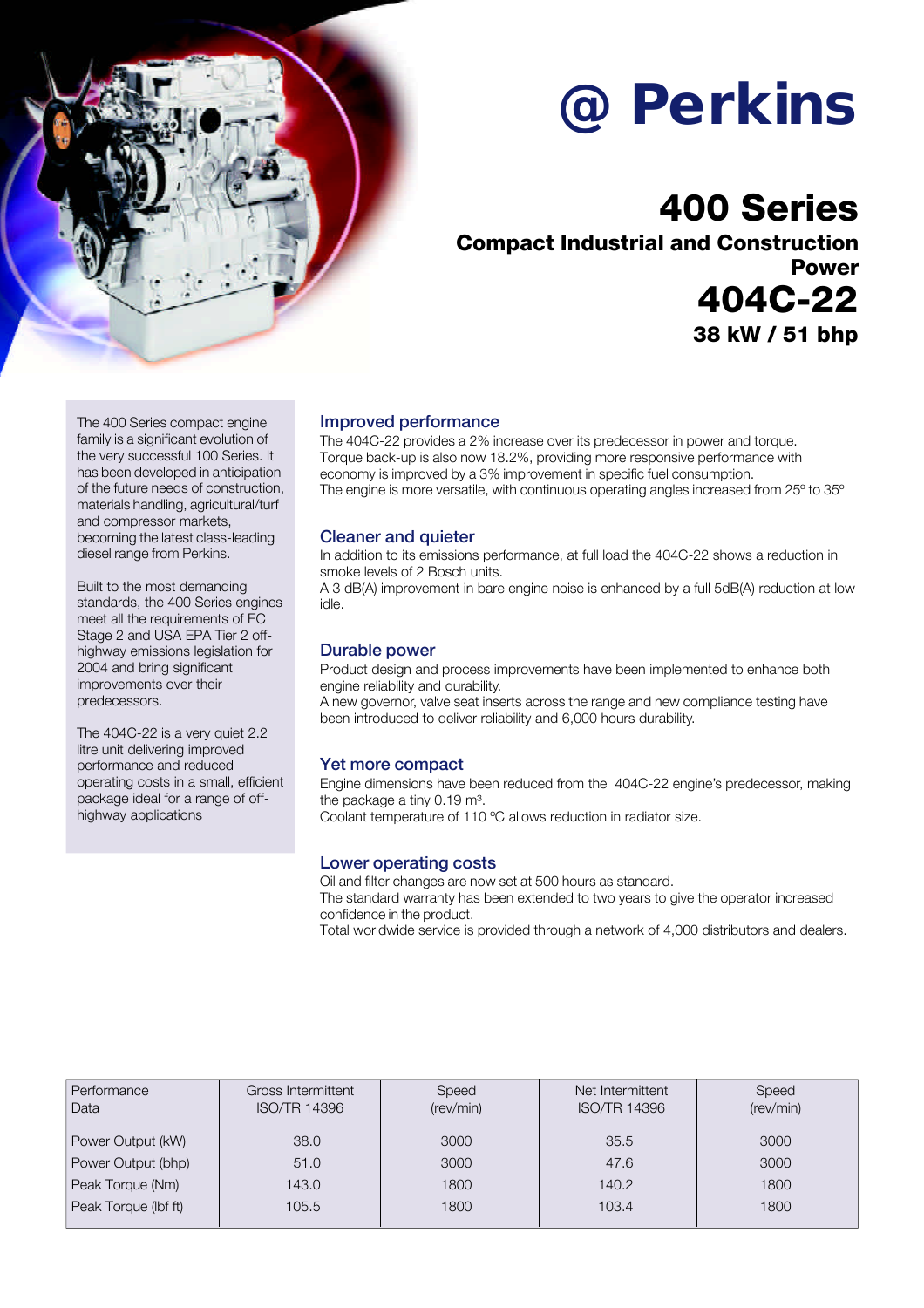

# **@Perkins**

## **400 Series**

**Compact Industrial and Construction Power 404C-22 38 kW / 51 bhp**

The 400 Series compact engine family is a significant evolution of the very successful 100 Series. It has been developed in anticipation of the future needs of construction, materials handling, agricultural/turf and compressor markets, becoming the latest class-leading diesel range from Perkins.

Built to the most demanding standards, the 400 Series engines meet all the requirements of EC Stage 2 and USA EPA Tier 2 offhighway emissions legislation for 2004 and bring significant improvements over their predecessors.

The 404C-22 is a very quiet 2.2 litre unit delivering improved performance and reduced operating costs in a small, efficient package ideal for a range of offhighway applications

### Improved performance

The 404C-22 provides a 2% increase over its predecessor in power and torque. Torque back-up is also now 18.2%, providing more responsive performance with economy is improved by a 3% improvement in specific fuel consumption. The engine is more versatile, with continuous operating angles increased from 25º to 35º

### Cleaner and quieter

In addition to its emissions performance, at full load the 404C-22 shows a reduction in smoke levels of 2 Bosch units.

A 3 dB(A) improvement in bare engine noise is enhanced by a full 5dB(A) reduction at low idle.

### Durable power

Product design and process improvements have been implemented to enhance both engine reliability and durability.

A new governor, valve seat inserts across the range and new compliance testing have been introduced to deliver reliability and 6,000 hours durability.

### Yet more compact

Engine dimensions have been reduced from the 404C-22 engine's predecessor, making the package a tiny 0.19 m<sup>3</sup>. Coolant temperature of 110 ºC allows reduction in radiator size.

### Lower operating costs

Oil and filter changes are now set at 500 hours as standard. The standard warranty has been extended to two years to give the operator increased confidence in the product.

Total worldwide service is provided through a network of 4,000 distributors and dealers.

| Performance<br>Data  | Gross Intermittent<br><b>ISO/TR 14396</b> | Speed<br>(rev/min) | Net Intermittent<br><b>ISO/TR 14396</b> | Speed<br>(rev/min) |
|----------------------|-------------------------------------------|--------------------|-----------------------------------------|--------------------|
| Power Output (kW)    | 38.0                                      | 3000               | 35.5                                    | 3000               |
| Power Output (bhp)   | 51.0                                      | 3000               | 47.6                                    | 3000               |
| Peak Torque (Nm)     | 143.0                                     | 1800               | 140.2                                   | 1800               |
| Peak Torque (lbf ft) | 105.5                                     | 1800               | 103.4                                   | 1800               |